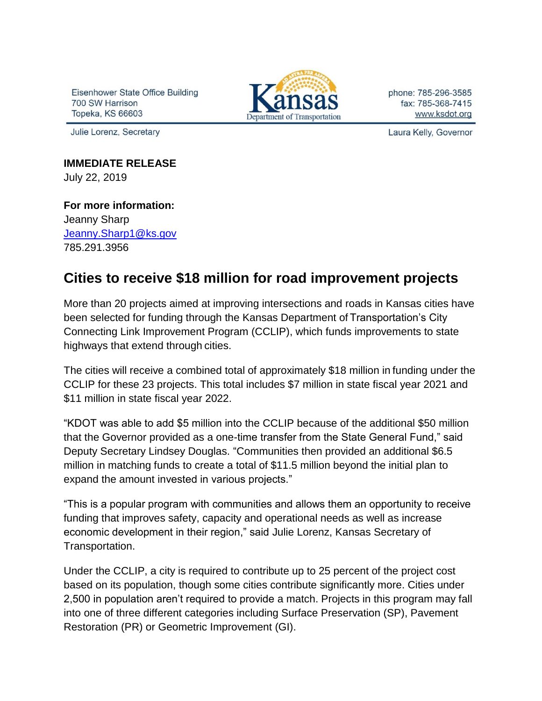Eisenhower State Office Building 700 SW Harrison **Topeka, KS 66603** 

Julie Lorenz, Secretary



phone: 785-296-3585 fax: 785-368-7415 www.ksdot.org

Laura Kelly, Governor

**IMMEDIATE RELEASE** July 22, 2019

**For more information:** Jeanny Sharp [Jeanny.Sharp1@ks.gov](mailto:Jeanny.Sharp1@ks.gov) 785.291.3956

## **Cities to receive \$18 million for road improvement projects**

More than 20 projects aimed at improving intersections and roads in Kansas cities have been selected for funding through the Kansas Department of Transportation's City Connecting Link Improvement Program (CCLIP), which funds improvements to state highways that extend through cities.

The cities will receive a combined total of approximately \$18 million in funding under the CCLIP for these 23 projects. This total includes \$7 million in state fiscal year 2021 and \$11 million in state fiscal year 2022.

"KDOT was able to add \$5 million into the CCLIP because of the additional \$50 million that the Governor provided as a one-time transfer from the State General Fund," said Deputy Secretary Lindsey Douglas. "Communities then provided an additional \$6.5 million in matching funds to create a total of \$11.5 million beyond the initial plan to expand the amount invested in various projects."

"This is a popular program with communities and allows them an opportunity to receive funding that improves safety, capacity and operational needs as well as increase economic development in their region," said Julie Lorenz, Kansas Secretary of Transportation.

Under the CCLIP, a city is required to contribute up to 25 percent of the project cost based on its population, though some cities contribute significantly more. Cities under 2,500 in population aren't required to provide a match. Projects in this program may fall into one of three different categories including Surface Preservation (SP), Pavement Restoration (PR) or Geometric Improvement (GI).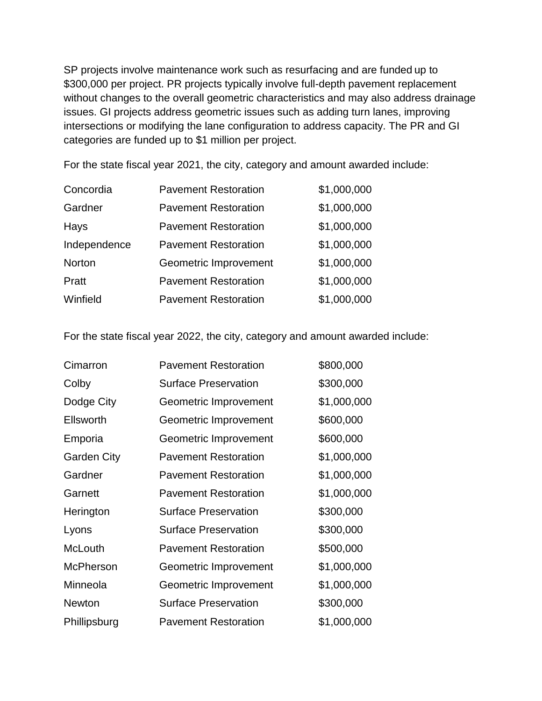SP projects involve maintenance work such as resurfacing and are funded up to \$300,000 per project. PR projects typically involve full-depth pavement replacement without changes to the overall geometric characteristics and may also address drainage issues. GI projects address geometric issues such as adding turn lanes, improving intersections or modifying the lane configuration to address capacity. The PR and GI categories are funded up to \$1 million per project.

For the state fiscal year 2021, the city, category and amount awarded include:

| Concordia     | <b>Pavement Restoration</b> | \$1,000,000 |
|---------------|-----------------------------|-------------|
| Gardner       | <b>Pavement Restoration</b> | \$1,000,000 |
| Hays          | <b>Pavement Restoration</b> | \$1,000,000 |
| Independence  | <b>Pavement Restoration</b> | \$1,000,000 |
| <b>Norton</b> | Geometric Improvement       | \$1,000,000 |
| Pratt         | <b>Pavement Restoration</b> | \$1,000,000 |
| Winfield      | <b>Pavement Restoration</b> | \$1,000,000 |

For the state fiscal year 2022, the city, category and amount awarded include:

| Cimarron           | <b>Pavement Restoration</b> | \$800,000   |
|--------------------|-----------------------------|-------------|
| Colby              | <b>Surface Preservation</b> | \$300,000   |
| Dodge City         | Geometric Improvement       | \$1,000,000 |
| <b>Ellsworth</b>   | Geometric Improvement       | \$600,000   |
| Emporia            | Geometric Improvement       | \$600,000   |
| <b>Garden City</b> | <b>Pavement Restoration</b> | \$1,000,000 |
| Gardner            | <b>Pavement Restoration</b> | \$1,000,000 |
| Garnett            | <b>Pavement Restoration</b> | \$1,000,000 |
| Herington          | <b>Surface Preservation</b> | \$300,000   |
| Lyons              | <b>Surface Preservation</b> | \$300,000   |
| <b>McLouth</b>     | <b>Pavement Restoration</b> | \$500,000   |
| <b>McPherson</b>   | Geometric Improvement       | \$1,000,000 |
| Minneola           | Geometric Improvement       | \$1,000,000 |
| <b>Newton</b>      | <b>Surface Preservation</b> | \$300,000   |
| Phillipsburg       | <b>Pavement Restoration</b> | \$1,000,000 |